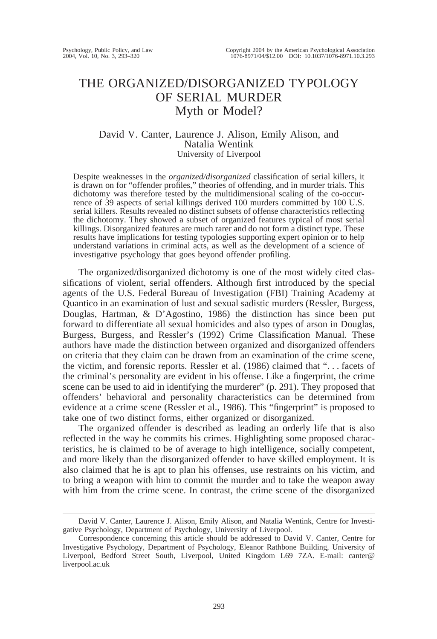# THE ORGANIZED/DISORGANIZED TYPOLOGY OF SERIAL MURDER Myth or Model?

## David V. Canter, Laurence J. Alison, Emily Alison, and Natalia Wentink University of Liverpool

Despite weaknesses in the *organized/disorganized* classification of serial killers, it is drawn on for "offender profiles," theories of offending, and in murder trials. This dichotomy was therefore tested by the multidimensional scaling of the co-occurrence of 39 aspects of serial killings derived 100 murders committed by 100 U.S. serial killers. Results revealed no distinct subsets of offense characteristics reflecting the dichotomy. They showed a subset of organized features typical of most serial killings. Disorganized features are much rarer and do not form a distinct type. These results have implications for testing typologies supporting expert opinion or to help understand variations in criminal acts, as well as the development of a science of investigative psychology that goes beyond offender profiling.

The organized/disorganized dichotomy is one of the most widely cited classifications of violent, serial offenders. Although first introduced by the special agents of the U.S. Federal Bureau of Investigation (FBI) Training Academy at Quantico in an examination of lust and sexual sadistic murders (Ressler, Burgess, Douglas, Hartman, & D'Agostino, 1986) the distinction has since been put forward to differentiate all sexual homicides and also types of arson in Douglas, Burgess, Burgess, and Ressler's (1992) Crime Classification Manual. These authors have made the distinction between organized and disorganized offenders on criteria that they claim can be drawn from an examination of the crime scene, the victim, and forensic reports. Ressler et al. (1986) claimed that ". . . facets of the criminal's personality are evident in his offense. Like a fingerprint, the crime scene can be used to aid in identifying the murderer" (p. 291). They proposed that offenders' behavioral and personality characteristics can be determined from evidence at a crime scene (Ressler et al., 1986). This "fingerprint" is proposed to take one of two distinct forms, either organized or disorganized.

The organized offender is described as leading an orderly life that is also reflected in the way he commits his crimes. Highlighting some proposed characteristics, he is claimed to be of average to high intelligence, socially competent, and more likely than the disorganized offender to have skilled employment. It is also claimed that he is apt to plan his offenses, use restraints on his victim, and to bring a weapon with him to commit the murder and to take the weapon away with him from the crime scene. In contrast, the crime scene of the disorganized

David V. Canter, Laurence J. Alison, Emily Alison, and Natalia Wentink, Centre for Investigative Psychology, Department of Psychology, University of Liverpool.

Correspondence concerning this article should be addressed to David V. Canter, Centre for Investigative Psychology, Department of Psychology, Eleanor Rathbone Building, University of Liverpool, Bedford Street South, Liverpool, United Kingdom L69 7ZA. E-mail: canter@ liverpool.ac.uk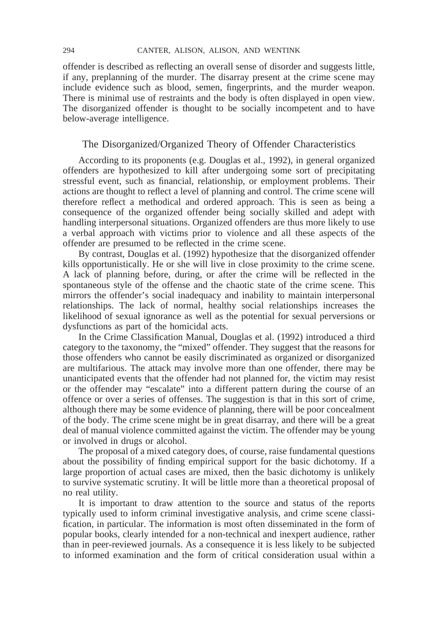offender is described as reflecting an overall sense of disorder and suggests little, if any, preplanning of the murder. The disarray present at the crime scene may include evidence such as blood, semen, fingerprints, and the murder weapon. There is minimal use of restraints and the body is often displayed in open view. The disorganized offender is thought to be socially incompetent and to have below-average intelligence.

## The Disorganized/Organized Theory of Offender Characteristics

According to its proponents (e.g. Douglas et al., 1992), in general organized offenders are hypothesized to kill after undergoing some sort of precipitating stressful event, such as financial, relationship, or employment problems. Their actions are thought to reflect a level of planning and control. The crime scene will therefore reflect a methodical and ordered approach. This is seen as being a consequence of the organized offender being socially skilled and adept with handling interpersonal situations. Organized offenders are thus more likely to use a verbal approach with victims prior to violence and all these aspects of the offender are presumed to be reflected in the crime scene.

By contrast, Douglas et al. (1992) hypothesize that the disorganized offender kills opportunistically. He or she will live in close proximity to the crime scene. A lack of planning before, during, or after the crime will be reflected in the spontaneous style of the offense and the chaotic state of the crime scene. This mirrors the offender's social inadequacy and inability to maintain interpersonal relationships. The lack of normal, healthy social relationships increases the likelihood of sexual ignorance as well as the potential for sexual perversions or dysfunctions as part of the homicidal acts.

In the Crime Classification Manual, Douglas et al. (1992) introduced a third category to the taxonomy, the "mixed" offender. They suggest that the reasons for those offenders who cannot be easily discriminated as organized or disorganized are multifarious. The attack may involve more than one offender, there may be unanticipated events that the offender had not planned for, the victim may resist or the offender may "escalate" into a different pattern during the course of an offence or over a series of offenses. The suggestion is that in this sort of crime, although there may be some evidence of planning, there will be poor concealment of the body. The crime scene might be in great disarray, and there will be a great deal of manual violence committed against the victim. The offender may be young or involved in drugs or alcohol.

The proposal of a mixed category does, of course, raise fundamental questions about the possibility of finding empirical support for the basic dichotomy. If a large proportion of actual cases are mixed, then the basic dichotomy is unlikely to survive systematic scrutiny. It will be little more than a theoretical proposal of no real utility.

It is important to draw attention to the source and status of the reports typically used to inform criminal investigative analysis, and crime scene classification, in particular. The information is most often disseminated in the form of popular books, clearly intended for a non-technical and inexpert audience, rather than in peer-reviewed journals. As a consequence it is less likely to be subjected to informed examination and the form of critical consideration usual within a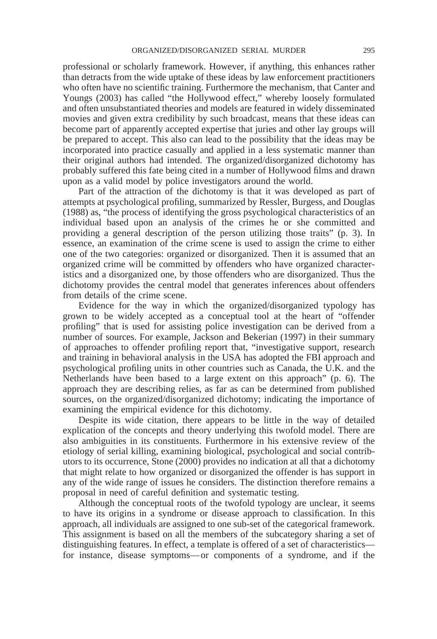professional or scholarly framework. However, if anything, this enhances rather than detracts from the wide uptake of these ideas by law enforcement practitioners who often have no scientific training. Furthermore the mechanism, that Canter and Youngs (2003) has called "the Hollywood effect," whereby loosely formulated and often unsubstantiated theories and models are featured in widely disseminated movies and given extra credibility by such broadcast, means that these ideas can become part of apparently accepted expertise that juries and other lay groups will be prepared to accept. This also can lead to the possibility that the ideas may be incorporated into practice casually and applied in a less systematic manner than their original authors had intended. The organized/disorganized dichotomy has probably suffered this fate being cited in a number of Hollywood films and drawn upon as a valid model by police investigators around the world.

Part of the attraction of the dichotomy is that it was developed as part of attempts at psychological profiling, summarized by Ressler, Burgess, and Douglas (1988) as, "the process of identifying the gross psychological characteristics of an individual based upon an analysis of the crimes he or she committed and providing a general description of the person utilizing those traits" (p. 3). In essence, an examination of the crime scene is used to assign the crime to either one of the two categories: organized or disorganized. Then it is assumed that an organized crime will be committed by offenders who have organized characteristics and a disorganized one, by those offenders who are disorganized. Thus the dichotomy provides the central model that generates inferences about offenders from details of the crime scene.

Evidence for the way in which the organized/disorganized typology has grown to be widely accepted as a conceptual tool at the heart of "offender profiling" that is used for assisting police investigation can be derived from a number of sources. For example, Jackson and Bekerian (1997) in their summary of approaches to offender profiling report that, "investigative support, research and training in behavioral analysis in the USA has adopted the FBI approach and psychological profiling units in other countries such as Canada, the U.K. and the Netherlands have been based to a large extent on this approach" (p. 6). The approach they are describing relies, as far as can be determined from published sources, on the organized/disorganized dichotomy; indicating the importance of examining the empirical evidence for this dichotomy.

Despite its wide citation, there appears to be little in the way of detailed explication of the concepts and theory underlying this twofold model. There are also ambiguities in its constituents. Furthermore in his extensive review of the etiology of serial killing, examining biological, psychological and social contributors to its occurrence, Stone (2000) provides no indication at all that a dichotomy that might relate to how organized or disorganized the offender is has support in any of the wide range of issues he considers. The distinction therefore remains a proposal in need of careful definition and systematic testing.

Although the conceptual roots of the twofold typology are unclear, it seems to have its origins in a syndrome or disease approach to classification. In this approach, all individuals are assigned to one sub-set of the categorical framework. This assignment is based on all the members of the subcategory sharing a set of distinguishing features. In effect, a template is offered of a set of characteristics for instance, disease symptoms—or components of a syndrome, and if the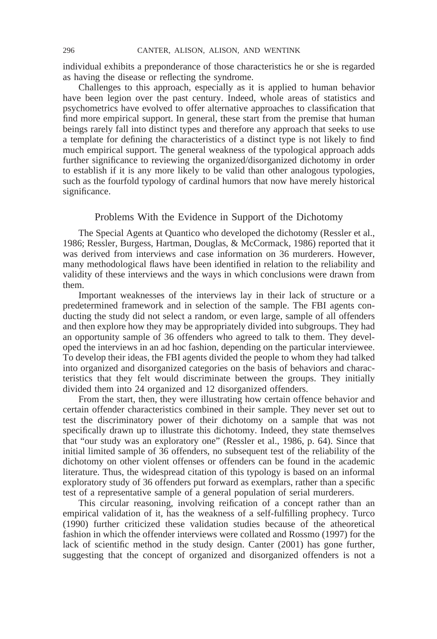individual exhibits a preponderance of those characteristics he or she is regarded as having the disease or reflecting the syndrome.

Challenges to this approach, especially as it is applied to human behavior have been legion over the past century. Indeed, whole areas of statistics and psychometrics have evolved to offer alternative approaches to classification that find more empirical support. In general, these start from the premise that human beings rarely fall into distinct types and therefore any approach that seeks to use a template for defining the characteristics of a distinct type is not likely to find much empirical support. The general weakness of the typological approach adds further significance to reviewing the organized/disorganized dichotomy in order to establish if it is any more likely to be valid than other analogous typologies, such as the fourfold typology of cardinal humors that now have merely historical significance.

## Problems With the Evidence in Support of the Dichotomy

The Special Agents at Quantico who developed the dichotomy (Ressler et al., 1986; Ressler, Burgess, Hartman, Douglas, & McCormack, 1986) reported that it was derived from interviews and case information on 36 murderers. However, many methodological flaws have been identified in relation to the reliability and validity of these interviews and the ways in which conclusions were drawn from them.

Important weaknesses of the interviews lay in their lack of structure or a predetermined framework and in selection of the sample. The FBI agents conducting the study did not select a random, or even large, sample of all offenders and then explore how they may be appropriately divided into subgroups. They had an opportunity sample of 36 offenders who agreed to talk to them. They developed the interviews in an ad hoc fashion, depending on the particular interviewee. To develop their ideas, the FBI agents divided the people to whom they had talked into organized and disorganized categories on the basis of behaviors and characteristics that they felt would discriminate between the groups. They initially divided them into 24 organized and 12 disorganized offenders.

From the start, then, they were illustrating how certain offence behavior and certain offender characteristics combined in their sample. They never set out to test the discriminatory power of their dichotomy on a sample that was not specifically drawn up to illustrate this dichotomy. Indeed, they state themselves that "our study was an exploratory one" (Ressler et al., 1986, p. 64). Since that initial limited sample of 36 offenders, no subsequent test of the reliability of the dichotomy on other violent offenses or offenders can be found in the academic literature. Thus, the widespread citation of this typology is based on an informal exploratory study of 36 offenders put forward as exemplars, rather than a specific test of a representative sample of a general population of serial murderers.

This circular reasoning, involving reification of a concept rather than an empirical validation of it, has the weakness of a self-fulfilling prophecy. Turco (1990) further criticized these validation studies because of the atheoretical fashion in which the offender interviews were collated and Rossmo (1997) for the lack of scientific method in the study design. Canter (2001) has gone further, suggesting that the concept of organized and disorganized offenders is not a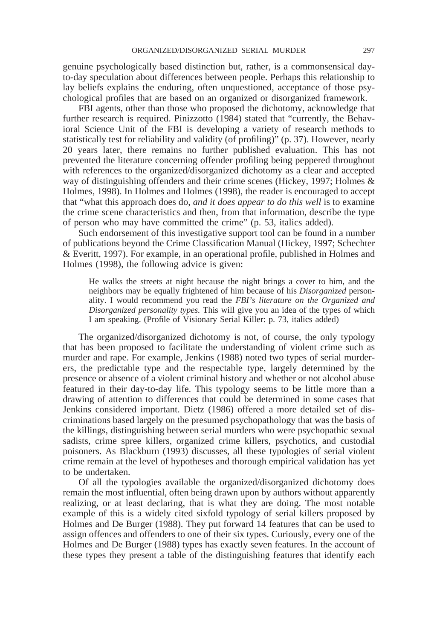genuine psychologically based distinction but, rather, is a commonsensical dayto-day speculation about differences between people. Perhaps this relationship to lay beliefs explains the enduring, often unquestioned, acceptance of those psychological profiles that are based on an organized or disorganized framework.

FBI agents, other than those who proposed the dichotomy, acknowledge that further research is required. Pinizzotto (1984) stated that "currently, the Behavioral Science Unit of the FBI is developing a variety of research methods to statistically test for reliability and validity (of profiling)" (p. 37). However, nearly 20 years later, there remains no further published evaluation. This has not prevented the literature concerning offender profiling being peppered throughout with references to the organized/disorganized dichotomy as a clear and accepted way of distinguishing offenders and their crime scenes (Hickey, 1997; Holmes & Holmes, 1998). In Holmes and Holmes (1998), the reader is encouraged to accept that "what this approach does do, *and it does appear to do this well* is to examine the crime scene characteristics and then, from that information, describe the type of person who may have committed the crime" (p. 53, italics added).

Such endorsement of this investigative support tool can be found in a number of publications beyond the Crime Classification Manual (Hickey, 1997; Schechter & Everitt, 1997). For example, in an operational profile, published in Holmes and Holmes (1998), the following advice is given:

He walks the streets at night because the night brings a cover to him, and the neighbors may be equally frightened of him because of his *Disorganized* personality. I would recommend you read the *FBI's literature on the Organized and Disorganized personality types.* This will give you an idea of the types of which I am speaking. (Profile of Visionary Serial Killer: p. 73, italics added)

The organized/disorganized dichotomy is not, of course, the only typology that has been proposed to facilitate the understanding of violent crime such as murder and rape. For example, Jenkins (1988) noted two types of serial murderers, the predictable type and the respectable type, largely determined by the presence or absence of a violent criminal history and whether or not alcohol abuse featured in their day-to-day life. This typology seems to be little more than a drawing of attention to differences that could be determined in some cases that Jenkins considered important. Dietz (1986) offered a more detailed set of discriminations based largely on the presumed psychopathology that was the basis of the killings, distinguishing between serial murders who were psychopathic sexual sadists, crime spree killers, organized crime killers, psychotics, and custodial poisoners. As Blackburn (1993) discusses, all these typologies of serial violent crime remain at the level of hypotheses and thorough empirical validation has yet to be undertaken.

Of all the typologies available the organized/disorganized dichotomy does remain the most influential, often being drawn upon by authors without apparently realizing, or at least declaring, that is what they are doing. The most notable example of this is a widely cited sixfold typology of serial killers proposed by Holmes and De Burger (1988). They put forward 14 features that can be used to assign offences and offenders to one of their six types. Curiously, every one of the Holmes and De Burger (1988) types has exactly seven features. In the account of these types they present a table of the distinguishing features that identify each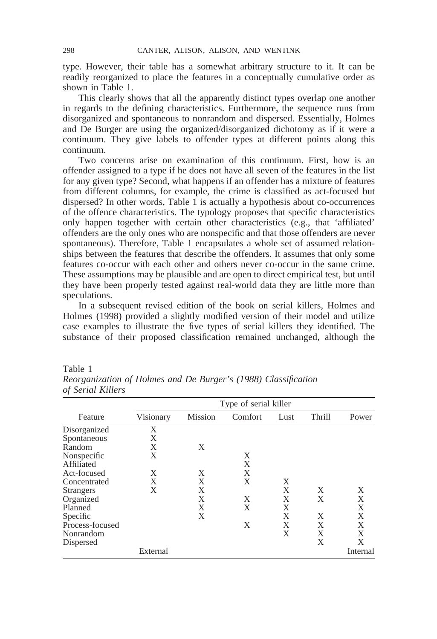type. However, their table has a somewhat arbitrary structure to it. It can be readily reorganized to place the features in a conceptually cumulative order as shown in Table 1.

This clearly shows that all the apparently distinct types overlap one another in regards to the defining characteristics. Furthermore, the sequence runs from disorganized and spontaneous to nonrandom and dispersed. Essentially, Holmes and De Burger are using the organized/disorganized dichotomy as if it were a continuum. They give labels to offender types at different points along this continuum.

Two concerns arise on examination of this continuum. First, how is an offender assigned to a type if he does not have all seven of the features in the list for any given type? Second, what happens if an offender has a mixture of features from different columns, for example, the crime is classified as act-focused but dispersed? In other words, Table 1 is actually a hypothesis about co-occurrences of the offence characteristics. The typology proposes that specific characteristics only happen together with certain other characteristics (e.g., that 'affiliated' offenders are the only ones who are nonspecific and that those offenders are never spontaneous). Therefore, Table 1 encapsulates a whole set of assumed relationships between the features that describe the offenders. It assumes that only some features co-occur with each other and others never co-occur in the same crime. These assumptions may be plausible and are open to direct empirical test, but until they have been properly tested against real-world data they are little more than speculations.

In a subsequent revised edition of the book on serial killers, Holmes and Holmes (1998) provided a slightly modified version of their model and utilize case examples to illustrate the five types of serial killers they identified. The substance of their proposed classification remained unchanged, although the

| <i>U</i> Dertal Killers |                       |                |         |      |               |          |  |  |
|-------------------------|-----------------------|----------------|---------|------|---------------|----------|--|--|
|                         | Type of serial killer |                |         |      |               |          |  |  |
| Feature                 | Visionary             | <b>Mission</b> | Comfort | Lust | <b>Thrill</b> | Power    |  |  |
| Disorganized            | Χ                     |                |         |      |               |          |  |  |
| Spontaneous             | X                     |                |         |      |               |          |  |  |
| Random                  | Χ                     | X              |         |      |               |          |  |  |
| Nonspecific             | X                     |                | X       |      |               |          |  |  |
| Affiliated              |                       |                | X       |      |               |          |  |  |
| Act-focused             | X                     | X              | X       |      |               |          |  |  |
| Concentrated            | X                     | X              | Χ       | X    |               |          |  |  |
| <b>Strangers</b>        | X                     | X              |         | X    | X             | X        |  |  |
| Organized               |                       | X              | X       | X    | X             | X        |  |  |
| Planned                 |                       | X              | X       | X    |               | X        |  |  |
| Specific                |                       | X              |         | X    | X             | X        |  |  |
| Process-focused         |                       |                | X       | X    | X             | X        |  |  |
| Nonrandom               |                       |                |         | X    | X             | X        |  |  |
| Dispersed               |                       |                |         |      | X             | X        |  |  |
|                         | External              |                |         |      |               | Internal |  |  |

*Reorganization of Holmes and De Burger's (1988) Classification of Serial Killers*

Table 1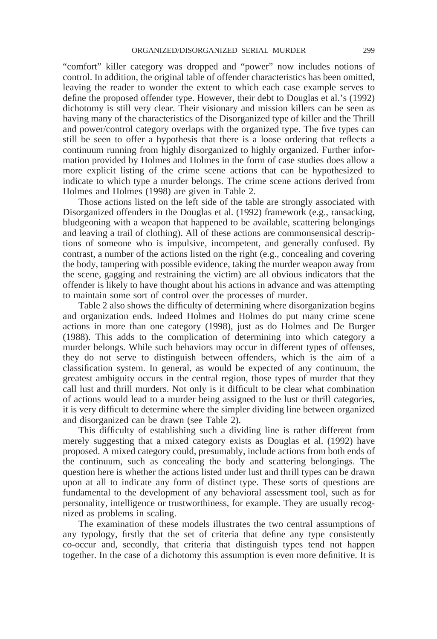"comfort" killer category was dropped and "power" now includes notions of control. In addition, the original table of offender characteristics has been omitted, leaving the reader to wonder the extent to which each case example serves to define the proposed offender type. However, their debt to Douglas et al.'s (1992) dichotomy is still very clear. Their visionary and mission killers can be seen as having many of the characteristics of the Disorganized type of killer and the Thrill and power/control category overlaps with the organized type. The five types can still be seen to offer a hypothesis that there is a loose ordering that reflects a continuum running from highly disorganized to highly organized. Further information provided by Holmes and Holmes in the form of case studies does allow a more explicit listing of the crime scene actions that can be hypothesized to indicate to which type a murder belongs. The crime scene actions derived from Holmes and Holmes (1998) are given in Table 2.

Those actions listed on the left side of the table are strongly associated with Disorganized offenders in the Douglas et al. (1992) framework (e.g., ransacking, bludgeoning with a weapon that happened to be available, scattering belongings and leaving a trail of clothing). All of these actions are commonsensical descriptions of someone who is impulsive, incompetent, and generally confused. By contrast, a number of the actions listed on the right (e.g., concealing and covering the body, tampering with possible evidence, taking the murder weapon away from the scene, gagging and restraining the victim) are all obvious indicators that the offender is likely to have thought about his actions in advance and was attempting to maintain some sort of control over the processes of murder.

Table 2 also shows the difficulty of determining where disorganization begins and organization ends. Indeed Holmes and Holmes do put many crime scene actions in more than one category (1998), just as do Holmes and De Burger (1988). This adds to the complication of determining into which category a murder belongs. While such behaviors may occur in different types of offenses, they do not serve to distinguish between offenders, which is the aim of a classification system. In general, as would be expected of any continuum, the greatest ambiguity occurs in the central region, those types of murder that they call lust and thrill murders. Not only is it difficult to be clear what combination of actions would lead to a murder being assigned to the lust or thrill categories, it is very difficult to determine where the simpler dividing line between organized and disorganized can be drawn (see Table 2).

This difficulty of establishing such a dividing line is rather different from merely suggesting that a mixed category exists as Douglas et al. (1992) have proposed. A mixed category could, presumably, include actions from both ends of the continuum, such as concealing the body and scattering belongings. The question here is whether the actions listed under lust and thrill types can be drawn upon at all to indicate any form of distinct type. These sorts of questions are fundamental to the development of any behavioral assessment tool, such as for personality, intelligence or trustworthiness, for example. They are usually recognized as problems in scaling.

The examination of these models illustrates the two central assumptions of any typology, firstly that the set of criteria that define any type consistently co-occur and, secondly, that criteria that distinguish types tend not happen together. In the case of a dichotomy this assumption is even more definitive. It is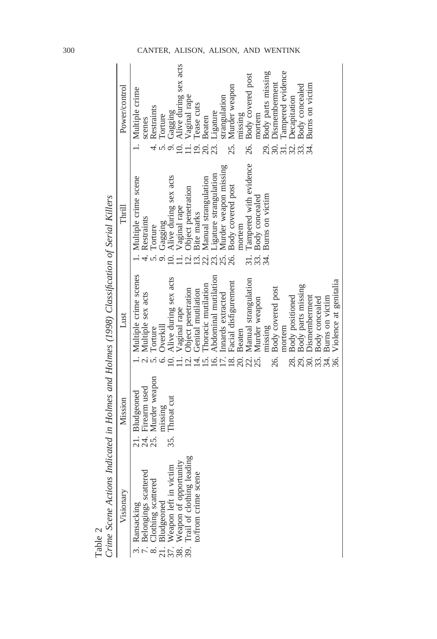| states which is a subsequently and the same of the same of the same of the same of the same of the same of the same of the same of the same of the same of the same of the same of the same of the same of the same of the sam<br>Belongings scattered<br>Visionary<br>Ransacking<br>$-8.5.89$ | Murder weapon<br>Firearm used<br>21. Bludgeoned<br>Mission<br>missing<br>25.<br>$\frac{1}{24}$ | 1. Multiple crime scenes<br>2. Multiple sex acts<br>Lust<br>Overkill<br>Torture                                                                                                                                                                                                                                                                                                                                                                                                                                                            | 1. Multiple crime scene<br>Thrill<br>4. Restraints<br>Torture                                                                                                                                                                                                                                                                                          | Power/control<br>1. Multiple crime<br>4. Restraints<br>Torture<br>scenes<br>.<br>ວ                                                                                                                                                                                                                                                                                                               |
|------------------------------------------------------------------------------------------------------------------------------------------------------------------------------------------------------------------------------------------------------------------------------------------------|------------------------------------------------------------------------------------------------|--------------------------------------------------------------------------------------------------------------------------------------------------------------------------------------------------------------------------------------------------------------------------------------------------------------------------------------------------------------------------------------------------------------------------------------------------------------------------------------------------------------------------------------------|--------------------------------------------------------------------------------------------------------------------------------------------------------------------------------------------------------------------------------------------------------------------------------------------------------------------------------------------------------|--------------------------------------------------------------------------------------------------------------------------------------------------------------------------------------------------------------------------------------------------------------------------------------------------------------------------------------------------------------------------------------------------|
| Clothing scattered<br>Bludgeoned<br>Weapon left in victim<br>Weapon of opportunity<br>Trail of clothing leading<br>o/from crime scene                                                                                                                                                          | Throat cut<br>.<br>35.                                                                         | Abdominal mutilation<br>Alive during sex acts<br>Manual strangulation<br>Violence at genitalia<br>Facial disfigurement<br>Thoracic mutilation<br>Body parts missing<br>26. Body covered post<br>Object penetration<br>Genital mutilation<br>Innards extracted<br><b>Dismemberment</b><br>Body positioned<br>Burns on victim<br>Body concealed<br>Murder weapon<br>Vaginal rape<br>missing<br>mortem<br>Beaten<br>16.1<br>33.1<br>$\overline{a}$<br>25.<br>15.<br>20.<br>22.<br>$\frac{8}{18}$<br>28.<br>29.<br>$\frac{1}{4}$<br>30.<br>36. | Tampered with evidence<br>Murder weapon missing<br>Ligature strangulation<br>Gagging<br>Alive during sex acts<br>Manual strangulation<br>Body covered post<br>Vaginal rape<br>Object penetration<br>Burns on victim<br>Body concealed<br>Bite marks<br>mortem<br>$\frac{1}{3}$ $\frac{1}{3}$ $\frac{1}{3}$ $\frac{1}{3}$<br>$-28888$<br>$\overline{2}$ | 9. Gagging<br>10. Alive during sex acts<br>Tampered evidence<br>29. Body parts missing<br>30. Dismemberment<br>26. Body covered post<br>Burns on victim<br>25. Murder weapon<br>33. Body concealed<br>Vaginal rape<br>strangulation<br>Decapitation<br>Tease cuts<br>23. Ligature<br>mortem<br>missing<br>Beaten<br>20.1<br>$\frac{1}{\Box}$<br>$\overline{31}$ .<br>$\frac{1}{2}$<br>32.<br>34. |

Table 2<br>Crime Scene Actions Indicated in Holmes and Holmes (1998) Classification of Serial Killers Crime Scene Actions Indicated in Holmes and Holmes (1998) Classification of Serial Killers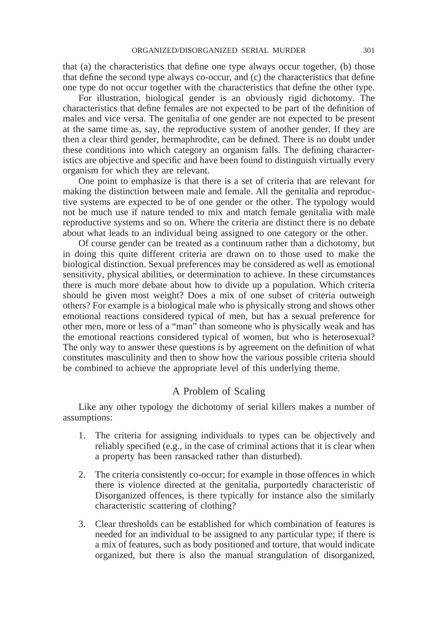that (a) the characteristics that define one type always occur together, (b) those that define the second type always co-occur, and (c) the characteristics that define one type do not occur together with the characteristics that define the other type.

For illustration, biological gender is an obviously rigid dichotomy. The characteristics that define females are not expected to be part of the definition of males and vice versa. The genitalia of one gender are not expected to be present at the same time as, say, the reproductive system of another gender. If they are then a clear third gender, hermaphrodite, can be defined. There is no doubt under these conditions into which category an organism falls. The defining characteristics are objective and specific and have been found to distinguish virtually every organism for which they are relevant.

One point to emphasize is that there is a set of criteria that are relevant for making the distinction between male and female. All the genitalia and reproductive systems are expected to be of one gender or the other. The typology would not be much use if nature tended to mix and match female genitalia with male reproductive systems and so on. Where the criteria are distinct there is no debate about what leads to an individual being assigned to one category or the other.

Of course gender can be treated as a continuum rather than a dichotomy, but in doing this quite different criteria are drawn on to those used to make the biological distinction. Sexual preferences may be considered as well as emotional sensitivity, physical abilities, or determination to achieve. In these circumstances there is much more debate about how to divide up a population. Which criteria should be given most weight? Does a mix of one subset of criteria outweigh others? For example is a biological male who is physically strong and shows other emotional reactions considered typical of men, but has a sexual preference for other men, more or less of a "man" than someone who is physically weak and has the emotional reactions considered typical of women, but who is heterosexual? The only way to answer these questions is by agreement on the definition of what constitutes masculinity and then to show how the various possible criteria should be combined to achieve the appropriate level of this underlying theme.

## A Problem of Scaling

Like any other typology the dichotomy of serial killers makes a number of assumptions:

- 1. The criteria for assigning individuals to types can be objectively and reliably specified (e.g., in the case of criminal actions that it is clear when a property has been ransacked rather than disturbed).
- 2. The criteria consistently co-occur; for example in those offences in which there is violence directed at the genitalia, purportedly characteristic of Disorganized offences, is there typically for instance also the similarly characteristic scattering of clothing?
- 3. Clear thresholds can be established for which combination of features is needed for an individual to be assigned to any particular type; if there is a mix of features, such as body positioned and torture, that would indicate organized, but there is also the manual strangulation of disorganized,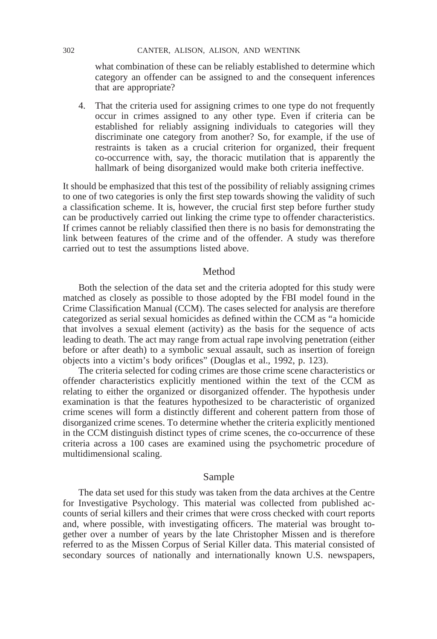what combination of these can be reliably established to determine which category an offender can be assigned to and the consequent inferences that are appropriate?

4. That the criteria used for assigning crimes to one type do not frequently occur in crimes assigned to any other type. Even if criteria can be established for reliably assigning individuals to categories will they discriminate one category from another? So, for example, if the use of restraints is taken as a crucial criterion for organized, their frequent co-occurrence with, say, the thoracic mutilation that is apparently the hallmark of being disorganized would make both criteria ineffective.

It should be emphasized that this test of the possibility of reliably assigning crimes to one of two categories is only the first step towards showing the validity of such a classification scheme. It is, however, the crucial first step before further study can be productively carried out linking the crime type to offender characteristics. If crimes cannot be reliably classified then there is no basis for demonstrating the link between features of the crime and of the offender. A study was therefore carried out to test the assumptions listed above.

## Method

Both the selection of the data set and the criteria adopted for this study were matched as closely as possible to those adopted by the FBI model found in the Crime Classification Manual (CCM). The cases selected for analysis are therefore categorized as serial sexual homicides as defined within the CCM as "a homicide that involves a sexual element (activity) as the basis for the sequence of acts leading to death. The act may range from actual rape involving penetration (either before or after death) to a symbolic sexual assault, such as insertion of foreign objects into a victim's body orifices" (Douglas et al., 1992, p. 123).

The criteria selected for coding crimes are those crime scene characteristics or offender characteristics explicitly mentioned within the text of the CCM as relating to either the organized or disorganized offender. The hypothesis under examination is that the features hypothesized to be characteristic of organized crime scenes will form a distinctly different and coherent pattern from those of disorganized crime scenes. To determine whether the criteria explicitly mentioned in the CCM distinguish distinct types of crime scenes, the co-occurrence of these criteria across a 100 cases are examined using the psychometric procedure of multidimensional scaling.

## Sample

The data set used for this study was taken from the data archives at the Centre for Investigative Psychology. This material was collected from published accounts of serial killers and their crimes that were cross checked with court reports and, where possible, with investigating officers. The material was brought together over a number of years by the late Christopher Missen and is therefore referred to as the Missen Corpus of Serial Killer data. This material consisted of secondary sources of nationally and internationally known U.S. newspapers,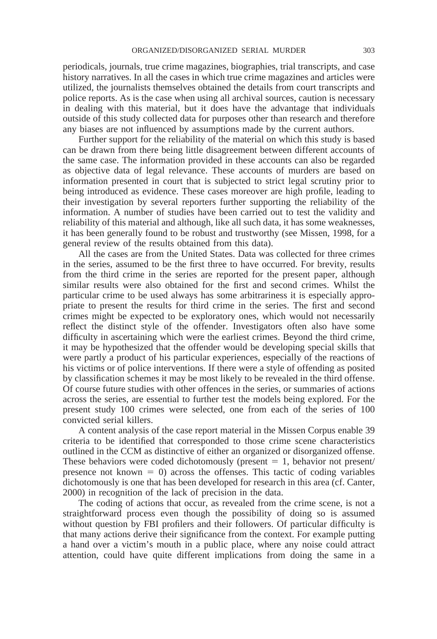periodicals, journals, true crime magazines, biographies, trial transcripts, and case history narratives. In all the cases in which true crime magazines and articles were utilized, the journalists themselves obtained the details from court transcripts and police reports. As is the case when using all archival sources, caution is necessary in dealing with this material, but it does have the advantage that individuals outside of this study collected data for purposes other than research and therefore any biases are not influenced by assumptions made by the current authors.

Further support for the reliability of the material on which this study is based can be drawn from there being little disagreement between different accounts of the same case. The information provided in these accounts can also be regarded as objective data of legal relevance. These accounts of murders are based on information presented in court that is subjected to strict legal scrutiny prior to being introduced as evidence. These cases moreover are high profile, leading to their investigation by several reporters further supporting the reliability of the information. A number of studies have been carried out to test the validity and reliability of this material and although, like all such data, it has some weaknesses, it has been generally found to be robust and trustworthy (see Missen, 1998, for a general review of the results obtained from this data).

All the cases are from the United States. Data was collected for three crimes in the series, assumed to be the first three to have occurred. For brevity, results from the third crime in the series are reported for the present paper, although similar results were also obtained for the first and second crimes. Whilst the particular crime to be used always has some arbitrariness it is especially appropriate to present the results for third crime in the series. The first and second crimes might be expected to be exploratory ones, which would not necessarily reflect the distinct style of the offender. Investigators often also have some difficulty in ascertaining which were the earliest crimes. Beyond the third crime, it may be hypothesized that the offender would be developing special skills that were partly a product of his particular experiences, especially of the reactions of his victims or of police interventions. If there were a style of offending as posited by classification schemes it may be most likely to be revealed in the third offense. Of course future studies with other offences in the series, or summaries of actions across the series, are essential to further test the models being explored. For the present study 100 crimes were selected, one from each of the series of 100 convicted serial killers.

A content analysis of the case report material in the Missen Corpus enable 39 criteria to be identified that corresponded to those crime scene characteristics outlined in the CCM as distinctive of either an organized or disorganized offense. These behaviors were coded dichotomously (present  $= 1$ , behavior not present/ presence not known  $= 0$ ) across the offenses. This tactic of coding variables dichotomously is one that has been developed for research in this area (cf. Canter, 2000) in recognition of the lack of precision in the data.

The coding of actions that occur, as revealed from the crime scene, is not a straightforward process even though the possibility of doing so is assumed without question by FBI profilers and their followers. Of particular difficulty is that many actions derive their significance from the context. For example putting a hand over a victim's mouth in a public place, where any noise could attract attention, could have quite different implications from doing the same in a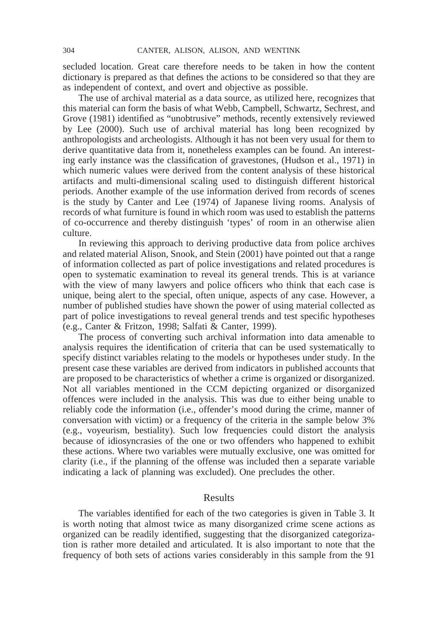secluded location. Great care therefore needs to be taken in how the content dictionary is prepared as that defines the actions to be considered so that they are as independent of context, and overt and objective as possible.

The use of archival material as a data source, as utilized here, recognizes that this material can form the basis of what Webb, Campbell, Schwartz, Sechrest, and Grove (1981) identified as "unobtrusive" methods, recently extensively reviewed by Lee (2000). Such use of archival material has long been recognized by anthropologists and archeologists. Although it has not been very usual for them to derive quantitative data from it, nonetheless examples can be found. An interesting early instance was the classification of gravestones, (Hudson et al., 1971) in which numeric values were derived from the content analysis of these historical artifacts and multi-dimensional scaling used to distinguish different historical periods. Another example of the use information derived from records of scenes is the study by Canter and Lee (1974) of Japanese living rooms. Analysis of records of what furniture is found in which room was used to establish the patterns of co-occurrence and thereby distinguish 'types' of room in an otherwise alien culture.

In reviewing this approach to deriving productive data from police archives and related material Alison, Snook, and Stein (2001) have pointed out that a range of information collected as part of police investigations and related procedures is open to systematic examination to reveal its general trends. This is at variance with the view of many lawyers and police officers who think that each case is unique, being alert to the special, often unique, aspects of any case. However, a number of published studies have shown the power of using material collected as part of police investigations to reveal general trends and test specific hypotheses (e.g., Canter & Fritzon, 1998; Salfati & Canter, 1999).

The process of converting such archival information into data amenable to analysis requires the identification of criteria that can be used systematically to specify distinct variables relating to the models or hypotheses under study. In the present case these variables are derived from indicators in published accounts that are proposed to be characteristics of whether a crime is organized or disorganized. Not all variables mentioned in the CCM depicting organized or disorganized offences were included in the analysis. This was due to either being unable to reliably code the information (i.e., offender's mood during the crime, manner of conversation with victim) or a frequency of the criteria in the sample below 3% (e.g., voyeurism, bestiality). Such low frequencies could distort the analysis because of idiosyncrasies of the one or two offenders who happened to exhibit these actions. Where two variables were mutually exclusive, one was omitted for clarity (i.e., if the planning of the offense was included then a separate variable indicating a lack of planning was excluded). One precludes the other.

## Results

The variables identified for each of the two categories is given in Table 3. It is worth noting that almost twice as many disorganized crime scene actions as organized can be readily identified, suggesting that the disorganized categorization is rather more detailed and articulated. It is also important to note that the frequency of both sets of actions varies considerably in this sample from the 91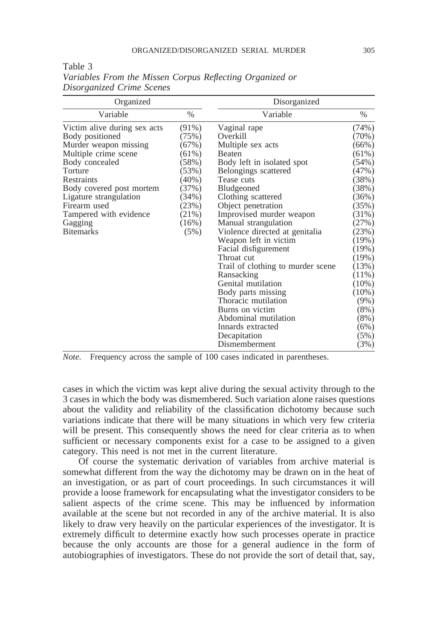| Organized                    |               | Disorganized                      |          |  |
|------------------------------|---------------|-----------------------------------|----------|--|
| Variable                     | $\frac{0}{0}$ | Variable                          | $\%$     |  |
| Victim alive during sex acts | $(91\%)$      | Vaginal rape                      | (74%)    |  |
| Body positioned              | (75%)         | Overkill                          | (70%)    |  |
| Murder weapon missing        | (67%)         | Multiple sex acts                 | $(66\%)$ |  |
| Multiple crime scene         | $(61\%)$      | Beaten                            | $(61\%)$ |  |
| Body concealed               | (58%)         | Body left in isolated spot        | (54%)    |  |
| Torture                      | (53%)         | Belongings scattered              | (47%)    |  |
| Restraints                   | $(40\%)$      | Tease cuts                        | (38%)    |  |
| Body covered post mortem     | (37%)         | Bludgeoned                        | (38%)    |  |
| Ligature strangulation       | (34%)         | Clothing scattered                | (36%)    |  |
| Firearm used                 | (23%)         | Object penetration                | (35%)    |  |
| Tampered with evidence       | (21%)         | Improvised murder weapon          | $(31\%)$ |  |
| Gagging                      | (16%)         | Manual strangulation              | (27%)    |  |
| <b>Bitemarks</b>             | (5%)          | Violence directed at genitalia    | (23%)    |  |
|                              |               | Weapon left in victim             | (19%)    |  |
|                              |               | Facial disfigurement              | (19%)    |  |
|                              |               | Throat cut                        | (19%)    |  |
|                              |               | Trail of clothing to murder scene | (13%)    |  |
|                              |               | Ransacking                        | (11%)    |  |
|                              |               | Genital mutilation                | (10%)    |  |
|                              |               | Body parts missing                | $(10\%)$ |  |
|                              |               | Thoracic mutilation               | $(9\%)$  |  |
|                              |               | Burns on victim                   | (8%)     |  |
|                              |               | Abdominal mutilation              | $(8\%)$  |  |
|                              |               | Innards extracted                 | (6%)     |  |
|                              |               | Decapitation                      | (5%)     |  |
|                              |               | Dismemberment                     | (3%)     |  |

Table 3 *Variables From the Missen Corpus Reflecting Organized or Disorganized Crime Scenes*

*Note.* Frequency across the sample of 100 cases indicated in parentheses.

cases in which the victim was kept alive during the sexual activity through to the 3 cases in which the body was dismembered. Such variation alone raises questions about the validity and reliability of the classification dichotomy because such variations indicate that there will be many situations in which very few criteria will be present. This consequently shows the need for clear criteria as to when sufficient or necessary components exist for a case to be assigned to a given category. This need is not met in the current literature.

Of course the systematic derivation of variables from archive material is somewhat different from the way the dichotomy may be drawn on in the heat of an investigation, or as part of court proceedings. In such circumstances it will provide a loose framework for encapsulating what the investigator considers to be salient aspects of the crime scene. This may be influenced by information available at the scene but not recorded in any of the archive material. It is also likely to draw very heavily on the particular experiences of the investigator. It is extremely difficult to determine exactly how such processes operate in practice because the only accounts are those for a general audience in the form of autobiographies of investigators. These do not provide the sort of detail that, say,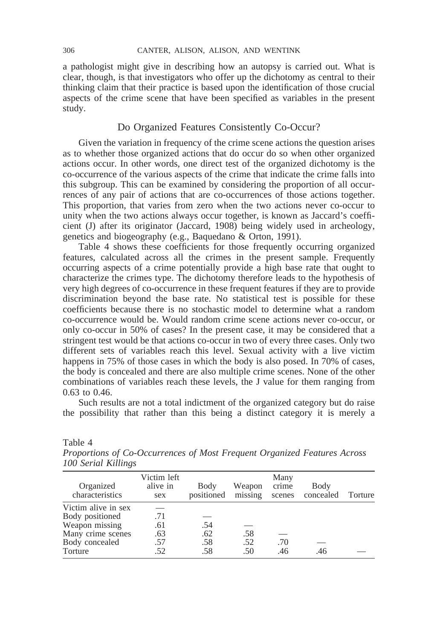a pathologist might give in describing how an autopsy is carried out. What is clear, though, is that investigators who offer up the dichotomy as central to their thinking claim that their practice is based upon the identification of those crucial aspects of the crime scene that have been specified as variables in the present study.

## Do Organized Features Consistently Co-Occur?

Given the variation in frequency of the crime scene actions the question arises as to whether those organized actions that do occur do so when other organized actions occur. In other words, one direct test of the organized dichotomy is the co-occurrence of the various aspects of the crime that indicate the crime falls into this subgroup. This can be examined by considering the proportion of all occurrences of any pair of actions that are co-occurrences of those actions together. This proportion, that varies from zero when the two actions never co-occur to unity when the two actions always occur together, is known as Jaccard's coefficient (J) after its originator (Jaccard, 1908) being widely used in archeology, genetics and biogeography (e.g., Baquedano & Orton, 1991).

Table 4 shows these coefficients for those frequently occurring organized features, calculated across all the crimes in the present sample. Frequently occurring aspects of a crime potentially provide a high base rate that ought to characterize the crimes type. The dichotomy therefore leads to the hypothesis of very high degrees of co-occurrence in these frequent features if they are to provide discrimination beyond the base rate. No statistical test is possible for these coefficients because there is no stochastic model to determine what a random co-occurrence would be. Would random crime scene actions never co-occur, or only co-occur in 50% of cases? In the present case, it may be considered that a stringent test would be that actions co-occur in two of every three cases. Only two different sets of variables reach this level. Sexual activity with a live victim happens in 75% of those cases in which the body is also posed. In 70% of cases, the body is concealed and there are also multiple crime scenes. None of the other combinations of variables reach these levels, the J value for them ranging from 0.63 to 0.46.

Such results are not a total indictment of the organized category but do raise the possibility that rather than this being a distinct category it is merely a

| $100$ Derver Harrengo                                                                                      |                                 |                          |                   |                         |                   |         |
|------------------------------------------------------------------------------------------------------------|---------------------------------|--------------------------|-------------------|-------------------------|-------------------|---------|
| Organized<br>characteristics                                                                               | Victim left<br>alive in<br>sex  | Body<br>positioned       | Weapon<br>missing | Many<br>crime<br>scenes | Body<br>concealed | Torture |
| Victim alive in sex<br>Body positioned<br>Weapon missing<br>Many crime scenes<br>Body concealed<br>Torture | .71<br>.61<br>.63<br>.57<br>.52 | .54<br>.62<br>.58<br>.58 | .58<br>.52<br>.50 | .70<br>.46              | .46               |         |

*Proportions of Co-Occurrences of Most Frequent Organized Features Across 100 Serial Killings*

Table 4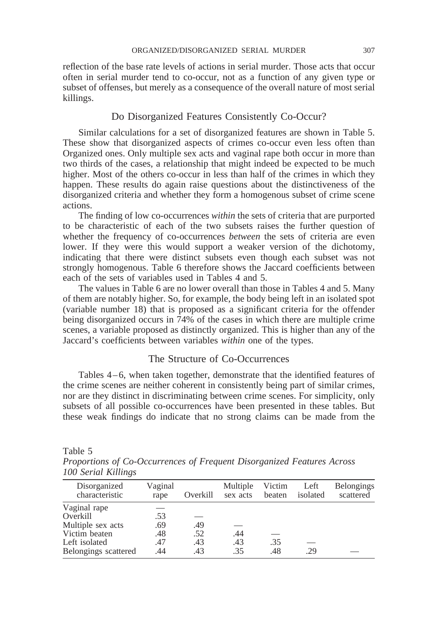reflection of the base rate levels of actions in serial murder. Those acts that occur often in serial murder tend to co-occur, not as a function of any given type or subset of offenses, but merely as a consequence of the overall nature of most serial killings.

## Do Disorganized Features Consistently Co-Occur?

Similar calculations for a set of disorganized features are shown in Table 5. These show that disorganized aspects of crimes co-occur even less often than Organized ones. Only multiple sex acts and vaginal rape both occur in more than two thirds of the cases, a relationship that might indeed be expected to be much higher. Most of the others co-occur in less than half of the crimes in which they happen. These results do again raise questions about the distinctiveness of the disorganized criteria and whether they form a homogenous subset of crime scene actions.

The finding of low co-occurrences *within* the sets of criteria that are purported to be characteristic of each of the two subsets raises the further question of whether the frequency of co-occurrences *between* the sets of criteria are even lower. If they were this would support a weaker version of the dichotomy, indicating that there were distinct subsets even though each subset was not strongly homogenous. Table 6 therefore shows the Jaccard coefficients between each of the sets of variables used in Tables 4 and 5.

The values in Table 6 are no lower overall than those in Tables 4 and 5. Many of them are notably higher. So, for example, the body being left in an isolated spot (variable number 18) that is proposed as a significant criteria for the offender being disorganized occurs in  $74\%$  of the cases in which there are multiple crime scenes, a variable proposed as distinctly organized. This is higher than any of the Jaccard's coefficients between variables *within* one of the types.

## The Structure of Co-Occurrences

Tables 4–6, when taken together, demonstrate that the identified features of the crime scenes are neither coherent in consistently being part of similar crimes, nor are they distinct in discriminating between crime scenes. For simplicity, only subsets of all possible co-occurrences have been presented in these tables. But these weak findings do indicate that no strong claims can be made from the

| Vaginal<br>rape | Overkill   | Multiple<br>sex acts | Victim<br>beaten | Left<br>isolated | Belongings<br>scattered |
|-----------------|------------|----------------------|------------------|------------------|-------------------------|
|                 |            |                      |                  |                  |                         |
|                 |            |                      |                  |                  |                         |
|                 |            |                      |                  |                  |                         |
| .48             | .52        | .44                  |                  |                  |                         |
| .47             | .43        | .43                  | .35              |                  |                         |
| .44             | .43        | .35                  | .48              | .29              |                         |
|                 | .53<br>.69 | .49                  |                  |                  |                         |

Table 5 *Proportions of Co-Occurrences of Frequent Disorganized Features Across 100 Serial Killings*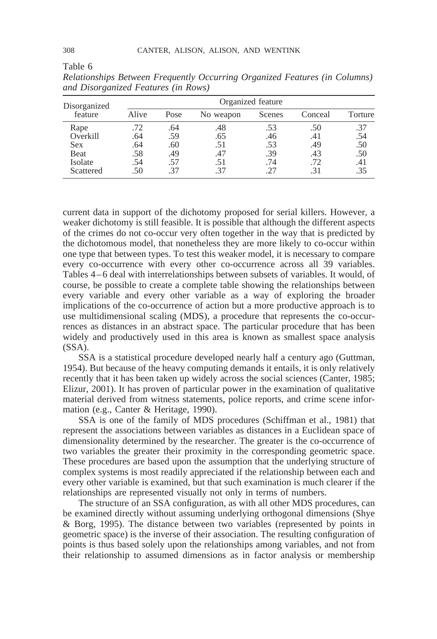| Disorganized |       |      |           | Organized feature |         |         |
|--------------|-------|------|-----------|-------------------|---------|---------|
| feature      | Alive | Pose | No weapon | Scenes            | Conceal | Torture |
| Rape         | .72   | .64  | .48       | .53               | .50     | .37     |
| Overkill     | .64   | .59  | .65       | .46               | .41     | .54     |
| <b>Sex</b>   | .64   | .60  | .51       | .53               | .49     | .50     |
| Beat         | .58   | .49  | .47       | .39               | .43     | .50     |
| Isolate      | .54   | .57  | .51       | .74               | .72     | .41     |
| Scattered    | .50   | -37  | .37       | .27               | .31     | .35     |

*Relationships Between Frequently Occurring Organized Features (in Columns) and Disorganized Features (in Rows)*

current data in support of the dichotomy proposed for serial killers. However, a weaker dichotomy is still feasible. It is possible that although the different aspects of the crimes do not co-occur very often together in the way that is predicted by the dichotomous model, that nonetheless they are more likely to co-occur within one type that between types. To test this weaker model, it is necessary to compare every co-occurrence with every other co-occurrence across all 39 variables. Tables 4–6 deal with interrelationships between subsets of variables. It would, of course, be possible to create a complete table showing the relationships between every variable and every other variable as a way of exploring the broader implications of the co-occurrence of action but a more productive approach is to use multidimensional scaling (MDS), a procedure that represents the co-occurrences as distances in an abstract space. The particular procedure that has been widely and productively used in this area is known as smallest space analysis (SSA).

SSA is a statistical procedure developed nearly half a century ago (Guttman, 1954). But because of the heavy computing demands it entails, it is only relatively recently that it has been taken up widely across the social sciences (Canter, 1985; Elizur, 2001). It has proven of particular power in the examination of qualitative material derived from witness statements, police reports, and crime scene information (e.g., Canter & Heritage, 1990).

SSA is one of the family of MDS procedures (Schiffman et al., 1981) that represent the associations between variables as distances in a Euclidean space of dimensionality determined by the researcher. The greater is the co-occurrence of two variables the greater their proximity in the corresponding geometric space. These procedures are based upon the assumption that the underlying structure of complex systems is most readily appreciated if the relationship between each and every other variable is examined, but that such examination is much clearer if the relationships are represented visually not only in terms of numbers.

The structure of an SSA configuration, as with all other MDS procedures, can be examined directly without assuming underlying orthogonal dimensions (Shye & Borg, 1995). The distance between two variables (represented by points in geometric space) is the inverse of their association. The resulting configuration of points is thus based solely upon the relationships among variables, and not from their relationship to assumed dimensions as in factor analysis or membership

Table 6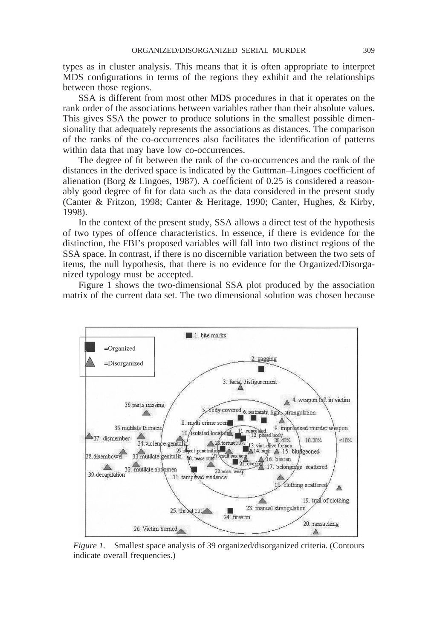types as in cluster analysis. This means that it is often appropriate to interpret MDS configurations in terms of the regions they exhibit and the relationships between those regions.

SSA is different from most other MDS procedures in that it operates on the rank order of the associations between variables rather than their absolute values. This gives SSA the power to produce solutions in the smallest possible dimensionality that adequately represents the associations as distances. The comparison of the ranks of the co-occurrences also facilitates the identification of patterns within data that may have low co-occurrences.

The degree of fit between the rank of the co-occurrences and the rank of the distances in the derived space is indicated by the Guttman–Lingoes coefficient of alienation (Borg & Lingoes, 1987). A coefficient of 0.25 is considered a reasonably good degree of fit for data such as the data considered in the present study (Canter & Fritzon, 1998; Canter & Heritage, 1990; Canter, Hughes, & Kirby, 1998).

In the context of the present study, SSA allows a direct test of the hypothesis of two types of offence characteristics. In essence, if there is evidence for the distinction, the FBI's proposed variables will fall into two distinct regions of the SSA space. In contrast, if there is no discernible variation between the two sets of items, the null hypothesis, that there is no evidence for the Organized/Disorganized typology must be accepted.

Figure 1 shows the two-dimensional SSA plot produced by the association matrix of the current data set. The two dimensional solution was chosen because



*Figure 1.* Smallest space analysis of 39 organized/disorganized criteria. (Contours indicate overall frequencies.)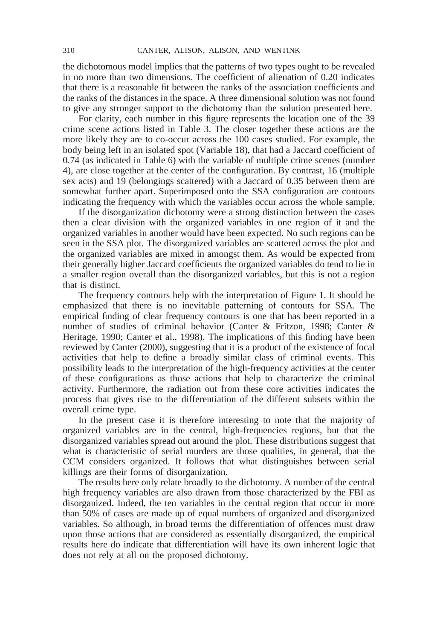the dichotomous model implies that the patterns of two types ought to be revealed in no more than two dimensions. The coefficient of alienation of 0.20 indicates that there is a reasonable fit between the ranks of the association coefficients and the ranks of the distances in the space. A three dimensional solution was not found to give any stronger support to the dichotomy than the solution presented here.

For clarity, each number in this figure represents the location one of the 39 crime scene actions listed in Table 3. The closer together these actions are the more likely they are to co-occur across the 100 cases studied. For example, the body being left in an isolated spot (Variable 18), that had a Jaccard coefficient of 0.74 (as indicated in Table 6) with the variable of multiple crime scenes (number 4), are close together at the center of the configuration. By contrast, 16 (multiple sex acts) and 19 (belongings scattered) with a Jaccard of 0.35 between them are somewhat further apart. Superimposed onto the SSA configuration are contours indicating the frequency with which the variables occur across the whole sample.

If the disorganization dichotomy were a strong distinction between the cases then a clear division with the organized variables in one region of it and the organized variables in another would have been expected. No such regions can be seen in the SSA plot. The disorganized variables are scattered across the plot and the organized variables are mixed in amongst them. As would be expected from their generally higher Jaccard coefficients the organized variables do tend to lie in a smaller region overall than the disorganized variables, but this is not a region that is distinct.

The frequency contours help with the interpretation of Figure 1. It should be emphasized that there is no inevitable patterning of contours for SSA. The empirical finding of clear frequency contours is one that has been reported in a number of studies of criminal behavior (Canter & Fritzon, 1998; Canter & Heritage, 1990; Canter et al., 1998). The implications of this finding have been reviewed by Canter (2000), suggesting that it is a product of the existence of focal activities that help to define a broadly similar class of criminal events. This possibility leads to the interpretation of the high-frequency activities at the center of these configurations as those actions that help to characterize the criminal activity. Furthermore, the radiation out from these core activities indicates the process that gives rise to the differentiation of the different subsets within the overall crime type.

In the present case it is therefore interesting to note that the majority of organized variables are in the central, high-frequencies regions, but that the disorganized variables spread out around the plot. These distributions suggest that what is characteristic of serial murders are those qualities, in general, that the CCM considers organized. It follows that what distinguishes between serial killings are their forms of disorganization.

The results here only relate broadly to the dichotomy. A number of the central high frequency variables are also drawn from those characterized by the FBI as disorganized. Indeed, the ten variables in the central region that occur in more than 50% of cases are made up of equal numbers of organized and disorganized variables. So although, in broad terms the differentiation of offences must draw upon those actions that are considered as essentially disorganized, the empirical results here do indicate that differentiation will have its own inherent logic that does not rely at all on the proposed dichotomy.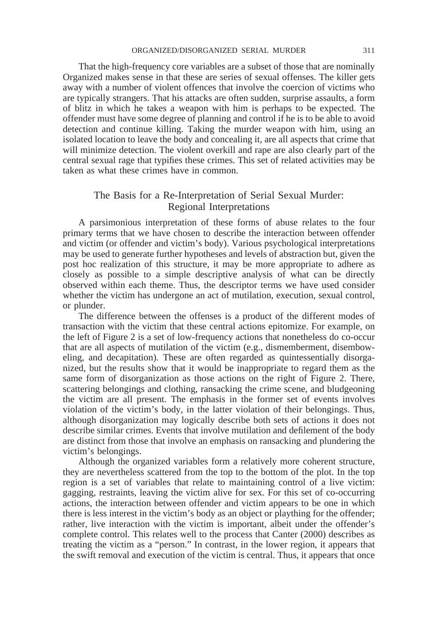That the high-frequency core variables are a subset of those that are nominally Organized makes sense in that these are series of sexual offenses. The killer gets away with a number of violent offences that involve the coercion of victims who are typically strangers. That his attacks are often sudden, surprise assaults, a form of blitz in which he takes a weapon with him is perhaps to be expected. The offender must have some degree of planning and control if he is to be able to avoid detection and continue killing. Taking the murder weapon with him, using an isolated location to leave the body and concealing it, are all aspects that crime that will minimize detection. The violent overkill and rape are also clearly part of the central sexual rage that typifies these crimes. This set of related activities may be taken as what these crimes have in common.

## The Basis for a Re-Interpretation of Serial Sexual Murder: Regional Interpretations

A parsimonious interpretation of these forms of abuse relates to the four primary terms that we have chosen to describe the interaction between offender and victim (or offender and victim's body). Various psychological interpretations may be used to generate further hypotheses and levels of abstraction but, given the post hoc realization of this structure, it may be more appropriate to adhere as closely as possible to a simple descriptive analysis of what can be directly observed within each theme. Thus, the descriptor terms we have used consider whether the victim has undergone an act of mutilation, execution, sexual control, or plunder.

The difference between the offenses is a product of the different modes of transaction with the victim that these central actions epitomize. For example, on the left of Figure 2 is a set of low-frequency actions that nonetheless do co-occur that are all aspects of mutilation of the victim (e.g., dismemberment, disemboweling, and decapitation). These are often regarded as quintessentially disorganized, but the results show that it would be inappropriate to regard them as the same form of disorganization as those actions on the right of Figure 2. There, scattering belongings and clothing, ransacking the crime scene, and bludgeoning the victim are all present. The emphasis in the former set of events involves violation of the victim's body, in the latter violation of their belongings. Thus, although disorganization may logically describe both sets of actions it does not describe similar crimes. Events that involve mutilation and defilement of the body are distinct from those that involve an emphasis on ransacking and plundering the victim's belongings.

Although the organized variables form a relatively more coherent structure, they are nevertheless scattered from the top to the bottom of the plot. In the top region is a set of variables that relate to maintaining control of a live victim: gagging, restraints, leaving the victim alive for sex. For this set of co-occurring actions, the interaction between offender and victim appears to be one in which there is less interest in the victim's body as an object or plaything for the offender; rather, live interaction with the victim is important, albeit under the offender's complete control. This relates well to the process that Canter (2000) describes as treating the victim as a "person." In contrast, in the lower region, it appears that the swift removal and execution of the victim is central. Thus, it appears that once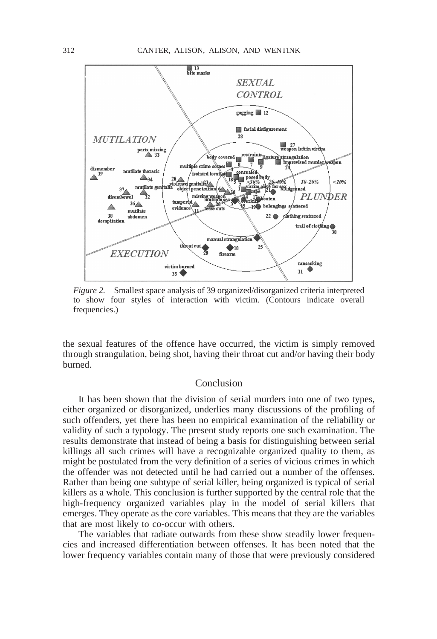

*Figure 2.* Smallest space analysis of 39 organized/disorganized criteria interpreted to show four styles of interaction with victim. (Contours indicate overall frequencies.)

the sexual features of the offence have occurred, the victim is simply removed through strangulation, being shot, having their throat cut and/or having their body burned.

#### Conclusion

It has been shown that the division of serial murders into one of two types, either organized or disorganized, underlies many discussions of the profiling of such offenders, yet there has been no empirical examination of the reliability or validity of such a typology. The present study reports one such examination. The results demonstrate that instead of being a basis for distinguishing between serial killings all such crimes will have a recognizable organized quality to them, as might be postulated from the very definition of a series of vicious crimes in which the offender was not detected until he had carried out a number of the offenses. Rather than being one subtype of serial killer, being organized is typical of serial killers as a whole. This conclusion is further supported by the central role that the high-frequency organized variables play in the model of serial killers that emerges. They operate as the core variables. This means that they are the variables that are most likely to co-occur with others.

The variables that radiate outwards from these show steadily lower frequencies and increased differentiation between offenses. It has been noted that the lower frequency variables contain many of those that were previously considered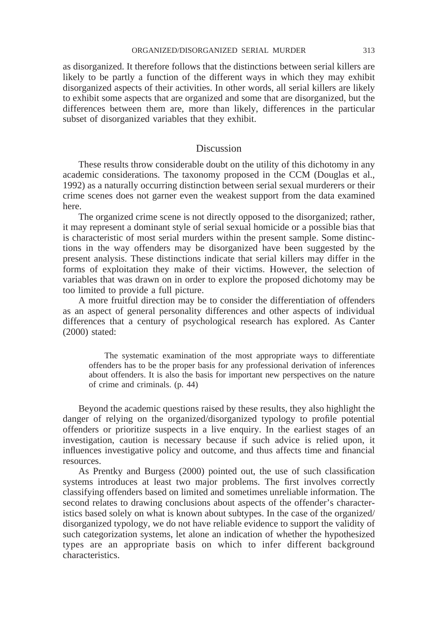as disorganized. It therefore follows that the distinctions between serial killers are likely to be partly a function of the different ways in which they may exhibit disorganized aspects of their activities. In other words, all serial killers are likely to exhibit some aspects that are organized and some that are disorganized, but the differences between them are, more than likely, differences in the particular subset of disorganized variables that they exhibit.

## Discussion

These results throw considerable doubt on the utility of this dichotomy in any academic considerations. The taxonomy proposed in the CCM (Douglas et al., 1992) as a naturally occurring distinction between serial sexual murderers or their crime scenes does not garner even the weakest support from the data examined here.

The organized crime scene is not directly opposed to the disorganized; rather, it may represent a dominant style of serial sexual homicide or a possible bias that is characteristic of most serial murders within the present sample. Some distinctions in the way offenders may be disorganized have been suggested by the present analysis. These distinctions indicate that serial killers may differ in the forms of exploitation they make of their victims. However, the selection of variables that was drawn on in order to explore the proposed dichotomy may be too limited to provide a full picture.

A more fruitful direction may be to consider the differentiation of offenders as an aspect of general personality differences and other aspects of individual differences that a century of psychological research has explored. As Canter (2000) stated:

The systematic examination of the most appropriate ways to differentiate offenders has to be the proper basis for any professional derivation of inferences about offenders. It is also the basis for important new perspectives on the nature of crime and criminals. (p. 44)

Beyond the academic questions raised by these results, they also highlight the danger of relying on the organized/disorganized typology to profile potential offenders or prioritize suspects in a live enquiry. In the earliest stages of an investigation, caution is necessary because if such advice is relied upon, it influences investigative policy and outcome, and thus affects time and financial resources.

As Prentky and Burgess (2000) pointed out, the use of such classification systems introduces at least two major problems. The first involves correctly classifying offenders based on limited and sometimes unreliable information. The second relates to drawing conclusions about aspects of the offender's characteristics based solely on what is known about subtypes. In the case of the organized/ disorganized typology, we do not have reliable evidence to support the validity of such categorization systems, let alone an indication of whether the hypothesized types are an appropriate basis on which to infer different background characteristics.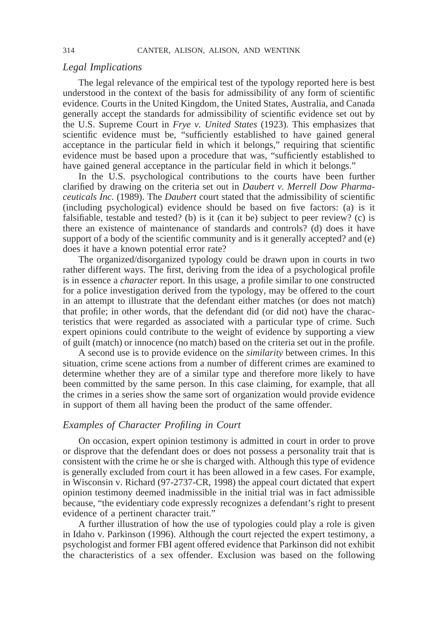### *Legal Implications*

The legal relevance of the empirical test of the typology reported here is best understood in the context of the basis for admissibility of any form of scientific evidence. Courts in the United Kingdom, the United States, Australia, and Canada generally accept the standards for admissibility of scientific evidence set out by the U.S. Supreme Court in *Frye v. United States* (1923). This emphasizes that scientific evidence must be, "sufficiently established to have gained general acceptance in the particular field in which it belongs," requiring that scientific evidence must be based upon a procedure that was, "sufficiently established to have gained general acceptance in the particular field in which it belongs."

In the U.S. psychological contributions to the courts have been further clarified by drawing on the criteria set out in *Daubert v. Merrell Dow Pharmaceuticals Inc.* (1989). The *Daubert* court stated that the admissibility of scientific (including psychological) evidence should be based on five factors: (a) is it falsifiable, testable and tested? (b) is it (can it be) subject to peer review? (c) is there an existence of maintenance of standards and controls? (d) does it have support of a body of the scientific community and is it generally accepted? and (e) does it have a known potential error rate?

The organized/disorganized typology could be drawn upon in courts in two rather different ways. The first, deriving from the idea of a psychological profile is in essence a *character* report. In this usage, a profile similar to one constructed for a police investigation derived from the typology, may be offered to the court in an attempt to illustrate that the defendant either matches (or does not match) that profile; in other words, that the defendant did (or did not) have the characteristics that were regarded as associated with a particular type of crime. Such expert opinions could contribute to the weight of evidence by supporting a view of guilt (match) or innocence (no match) based on the criteria set out in the profile.

A second use is to provide evidence on the *similarity* between crimes. In this situation, crime scene actions from a number of different crimes are examined to determine whether they are of a similar type and therefore more likely to have been committed by the same person. In this case claiming, for example, that all the crimes in a series show the same sort of organization would provide evidence in support of them all having been the product of the same offender.

#### *Examples of Character Profiling in Court*

On occasion, expert opinion testimony is admitted in court in order to prove or disprove that the defendant does or does not possess a personality trait that is consistent with the crime he or she is charged with. Although this type of evidence is generally excluded from court it has been allowed in a few cases. For example, in Wisconsin v. Richard (97-2737-CR, 1998) the appeal court dictated that expert opinion testimony deemed inadmissible in the initial trial was in fact admissible because, "the evidentiary code expressly recognizes a defendant's right to present evidence of a pertinent character trait."

A further illustration of how the use of typologies could play a role is given in Idaho v. Parkinson (1996). Although the court rejected the expert testimony, a psychologist and former FBI agent offered evidence that Parkinson did not exhibit the characteristics of a sex offender. Exclusion was based on the following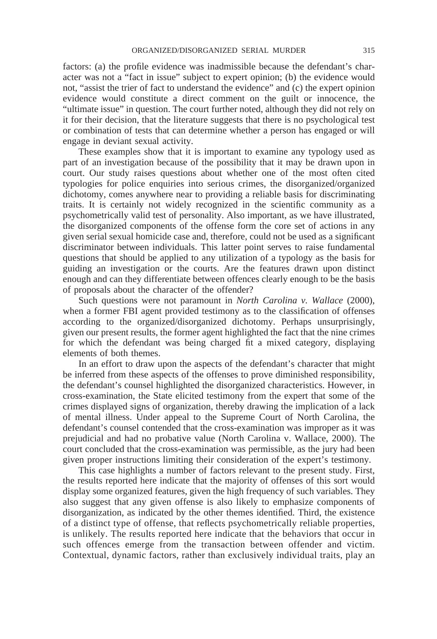factors: (a) the profile evidence was inadmissible because the defendant's character was not a "fact in issue" subject to expert opinion; (b) the evidence would not, "assist the trier of fact to understand the evidence" and (c) the expert opinion evidence would constitute a direct comment on the guilt or innocence, the "ultimate issue" in question. The court further noted, although they did not rely on it for their decision, that the literature suggests that there is no psychological test or combination of tests that can determine whether a person has engaged or will engage in deviant sexual activity.

These examples show that it is important to examine any typology used as part of an investigation because of the possibility that it may be drawn upon in court. Our study raises questions about whether one of the most often cited typologies for police enquiries into serious crimes, the disorganized/organized dichotomy, comes anywhere near to providing a reliable basis for discriminating traits. It is certainly not widely recognized in the scientific community as a psychometrically valid test of personality. Also important, as we have illustrated, the disorganized components of the offense form the core set of actions in any given serial sexual homicide case and, therefore, could not be used as a significant discriminator between individuals. This latter point serves to raise fundamental questions that should be applied to any utilization of a typology as the basis for guiding an investigation or the courts. Are the features drawn upon distinct enough and can they differentiate between offences clearly enough to be the basis of proposals about the character of the offender?

Such questions were not paramount in *North Carolina v. Wallace* (2000), when a former FBI agent provided testimony as to the classification of offenses according to the organized/disorganized dichotomy. Perhaps unsurprisingly, given our present results, the former agent highlighted the fact that the nine crimes for which the defendant was being charged fit a mixed category, displaying elements of both themes.

In an effort to draw upon the aspects of the defendant's character that might be inferred from these aspects of the offenses to prove diminished responsibility, the defendant's counsel highlighted the disorganized characteristics. However, in cross-examination, the State elicited testimony from the expert that some of the crimes displayed signs of organization, thereby drawing the implication of a lack of mental illness. Under appeal to the Supreme Court of North Carolina, the defendant's counsel contended that the cross-examination was improper as it was prejudicial and had no probative value (North Carolina v. Wallace, 2000). The court concluded that the cross-examination was permissible, as the jury had been given proper instructions limiting their consideration of the expert's testimony.

This case highlights a number of factors relevant to the present study. First, the results reported here indicate that the majority of offenses of this sort would display some organized features, given the high frequency of such variables. They also suggest that any given offense is also likely to emphasize components of disorganization, as indicated by the other themes identified. Third, the existence of a distinct type of offense, that reflects psychometrically reliable properties, is unlikely. The results reported here indicate that the behaviors that occur in such offences emerge from the transaction between offender and victim. Contextual, dynamic factors, rather than exclusively individual traits, play an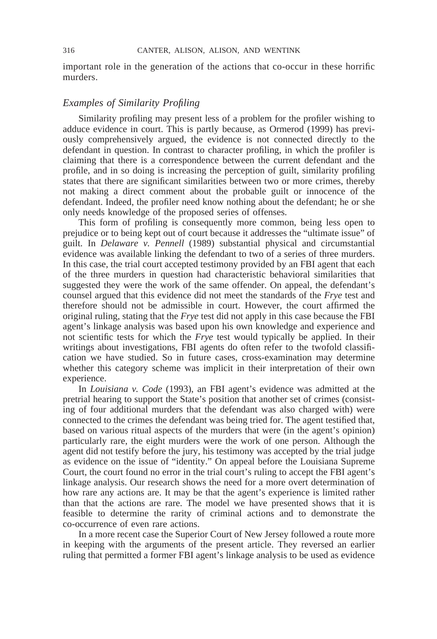important role in the generation of the actions that co-occur in these horrific murders.

## *Examples of Similarity Profiling*

Similarity profiling may present less of a problem for the profiler wishing to adduce evidence in court. This is partly because, as Ormerod (1999) has previously comprehensively argued, the evidence is not connected directly to the defendant in question. In contrast to character profiling, in which the profiler is claiming that there is a correspondence between the current defendant and the profile, and in so doing is increasing the perception of guilt, similarity profiling states that there are significant similarities between two or more crimes, thereby not making a direct comment about the probable guilt or innocence of the defendant. Indeed, the profiler need know nothing about the defendant; he or she only needs knowledge of the proposed series of offenses.

This form of profiling is consequently more common, being less open to prejudice or to being kept out of court because it addresses the "ultimate issue" of guilt. In *Delaware v. Pennell* (1989) substantial physical and circumstantial evidence was available linking the defendant to two of a series of three murders. In this case, the trial court accepted testimony provided by an FBI agent that each of the three murders in question had characteristic behavioral similarities that suggested they were the work of the same offender. On appeal, the defendant's counsel argued that this evidence did not meet the standards of the *Frye* test and therefore should not be admissible in court. However, the court affirmed the original ruling, stating that the *Frye* test did not apply in this case because the FBI agent's linkage analysis was based upon his own knowledge and experience and not scientific tests for which the *Frye* test would typically be applied. In their writings about investigations, FBI agents do often refer to the twofold classification we have studied. So in future cases, cross-examination may determine whether this category scheme was implicit in their interpretation of their own experience.

In *Louisiana v. Code* (1993), an FBI agent's evidence was admitted at the pretrial hearing to support the State's position that another set of crimes (consisting of four additional murders that the defendant was also charged with) were connected to the crimes the defendant was being tried for. The agent testified that, based on various ritual aspects of the murders that were (in the agent's opinion) particularly rare, the eight murders were the work of one person. Although the agent did not testify before the jury, his testimony was accepted by the trial judge as evidence on the issue of "identity." On appeal before the Louisiana Supreme Court, the court found no error in the trial court's ruling to accept the FBI agent's linkage analysis. Our research shows the need for a more overt determination of how rare any actions are. It may be that the agent's experience is limited rather than that the actions are rare. The model we have presented shows that it is feasible to determine the rarity of criminal actions and to demonstrate the co-occurrence of even rare actions.

In a more recent case the Superior Court of New Jersey followed a route more in keeping with the arguments of the present article. They reversed an earlier ruling that permitted a former FBI agent's linkage analysis to be used as evidence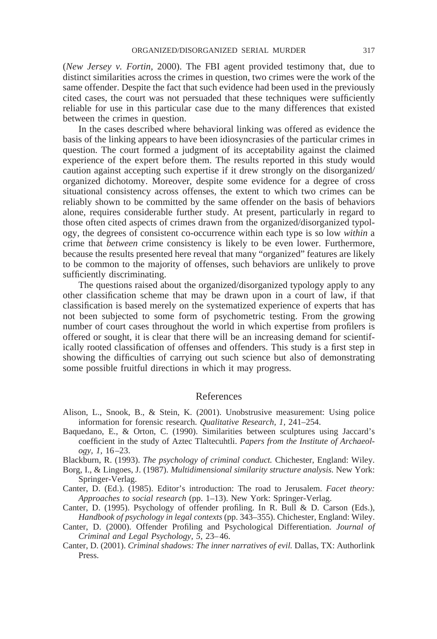(*New Jersey v. Fortin,* 2000). The FBI agent provided testimony that, due to distinct similarities across the crimes in question, two crimes were the work of the same offender. Despite the fact that such evidence had been used in the previously cited cases, the court was not persuaded that these techniques were sufficiently reliable for use in this particular case due to the many differences that existed between the crimes in question.

In the cases described where behavioral linking was offered as evidence the basis of the linking appears to have been idiosyncrasies of the particular crimes in question. The court formed a judgment of its acceptability against the claimed experience of the expert before them. The results reported in this study would caution against accepting such expertise if it drew strongly on the disorganized/ organized dichotomy. Moreover, despite some evidence for a degree of cross situational consistency across offenses, the extent to which two crimes can be reliably shown to be committed by the same offender on the basis of behaviors alone, requires considerable further study. At present, particularly in regard to those often cited aspects of crimes drawn from the organized/disorganized typology, the degrees of consistent co-occurrence within each type is so low *within* a crime that *between* crime consistency is likely to be even lower. Furthermore, because the results presented here reveal that many "organized" features are likely to be common to the majority of offenses, such behaviors are unlikely to prove sufficiently discriminating.

The questions raised about the organized/disorganized typology apply to any other classification scheme that may be drawn upon in a court of law, if that classification is based merely on the systematized experience of experts that has not been subjected to some form of psychometric testing. From the growing number of court cases throughout the world in which expertise from profilers is offered or sought, it is clear that there will be an increasing demand for scientifically rooted classification of offenses and offenders. This study is a first step in showing the difficulties of carrying out such science but also of demonstrating some possible fruitful directions in which it may progress.

#### References

- Alison, L., Snook, B., & Stein, K. (2001). Unobstrusive measurement: Using police information for forensic research. *Qualitative Research, 1,* 241–254.
- Baquedano, E., & Orton, C. (1990). Similarities between sculptures using Jaccard's coefficient in the study of Aztec Tlaltecuhtli. *Papers from the Institute of Archaeology, 1,* 16–23.
- Blackburn, R. (1993). *The psychology of criminal conduct.* Chichester, England: Wiley.
- Borg, I., & Lingoes, J. (1987). *Multidimensional similarity structure analysis.* New York: Springer-Verlag.
- Canter, D. (Ed.). (1985). Editor's introduction: The road to Jerusalem. *Facet theory: Approaches to social research* (pp. 1–13). New York: Springer-Verlag.
- Canter, D. (1995). Psychology of offender profiling. In R. Bull & D. Carson (Eds.), *Handbook of psychology in legal contexts* (pp. 343–355). Chichester, England: Wiley.
- Canter, D. (2000). Offender Profiling and Psychological Differentiation. *Journal of Criminal and Legal Psychology, 5,* 23–46.
- Canter, D. (2001). *Criminal shadows: The inner narratives of evil.* Dallas, TX: Authorlink Press.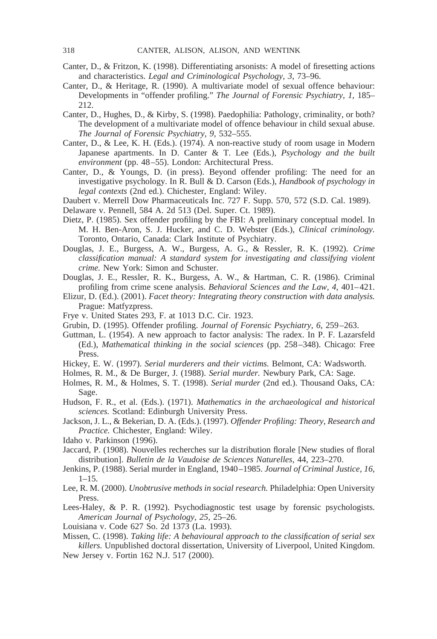- Canter, D., & Fritzon, K. (1998). Differentiating arsonists: A model of firesetting actions and characteristics. *Legal and Criminological Psychology, 3,* 73–96.
- Canter, D., & Heritage, R. (1990). A multivariate model of sexual offence behaviour: Developments in "offender profiling." *The Journal of Forensic Psychiatry, 1,* 185– 212.
- Canter, D., Hughes, D., & Kirby, S. (1998). Paedophilia: Pathology, criminality, or both? The development of a multivariate model of offence behaviour in child sexual abuse. *The Journal of Forensic Psychiatry, 9,* 532–555.
- Canter, D., & Lee, K. H. (Eds.). (1974). A non-reactive study of room usage in Modern Japanese apartments. In D. Canter & T. Lee (Eds.), *Psychology and the built environment* (pp. 48–55). London: Architectural Press.
- Canter, D., & Youngs, D. (in press). Beyond offender profiling: The need for an investigative psychology. In R. Bull & D. Carson (Eds.), *Handbook of psychology in legal contexts* (2nd ed.). Chichester, England: Wiley.
- Daubert v. Merrell Dow Pharmaceuticals Inc. 727 F. Supp. 570, 572 (S.D. Cal. 1989).
- Delaware v. Pennell, 584 A. 2d 513 (Del. Super. Ct. 1989).
- Dietz, P. (1985). Sex offender profiling by the FBI: A preliminary conceptual model. In M. H. Ben-Aron, S. J. Hucker, and C. D. Webster (Eds.), *Clinical criminology.* Toronto, Ontario, Canada: Clark Institute of Psychiatry.
- Douglas, J. E., Burgess, A. W., Burgess, A. G., & Ressler, R. K. (1992). *Crime classification manual: A standard system for investigating and classifying violent crime.* New York: Simon and Schuster.
- Douglas, J. E., Ressler, R. K., Burgess, A. W., & Hartman, C. R. (1986). Criminal profiling from crime scene analysis. *Behavioral Sciences and the Law, 4,* 401–421.
- Elizur, D. (Ed.). (2001). *Facet theory: Integrating theory construction with data analysis.* Prague: Matfyzpress.
- Frye v. United States 293, F. at 1013 D.C. Cir. 1923.
- Grubin, D. (1995). Offender profiling. *Journal of Forensic Psychiatry, 6,* 259–263.
- Guttman, L. (1954). A new approach to factor analysis: The radex. In P. F. Lazarsfeld (Ed.), *Mathematical thinking in the social sciences* (pp. 258–348). Chicago: Free Press.
- Hickey, E. W. (1997). *Serial murderers and their victims.* Belmont, CA: Wadsworth.
- Holmes, R. M., & De Burger, J. (1988). *Serial murder.* Newbury Park, CA: Sage.
- Holmes, R. M., & Holmes, S. T. (1998). *Serial murder* (2nd ed.). Thousand Oaks, CA: Sage.
- Hudson, F. R., et al. (Eds.). (1971). *Mathematics in the archaeological and historical sciences.* Scotland: Edinburgh University Press.
- Jackson, J. L., & Bekerian, D. A. (Eds.). (1997). *Offender Profiling: Theory, Research and Practice.* Chichester, England: Wiley.
- Idaho v. Parkinson (1996).
- Jaccard, P. (1908). Nouvelles recherches sur la distribution florale [New studies of floral distribution]. *Bulletin de la Vaudoise de Sciences Naturelles,* 44, 223–270.
- Jenkins, P. (1988). Serial murder in England, 1940–1985. *Journal of Criminal Justice, 16,* 1–15.
- Lee, R. M. (2000). *Unobtrusive methods in social research.* Philadelphia: Open University Press.
- Lees-Haley, & P. R. (1992). Psychodiagnostic test usage by forensic psychologists. *American Journal of Psychology, 25,* 25–26.
- Louisiana v. Code 627 So. 2d 1373 (La. 1993).
- Missen, C. (1998). *Taking life: A behavioural approach to the classification of serial sex killers.* Unpublished doctoral dissertation, University of Liverpool, United Kingdom.
- New Jersey v. Fortin 162 N.J. 517 (2000).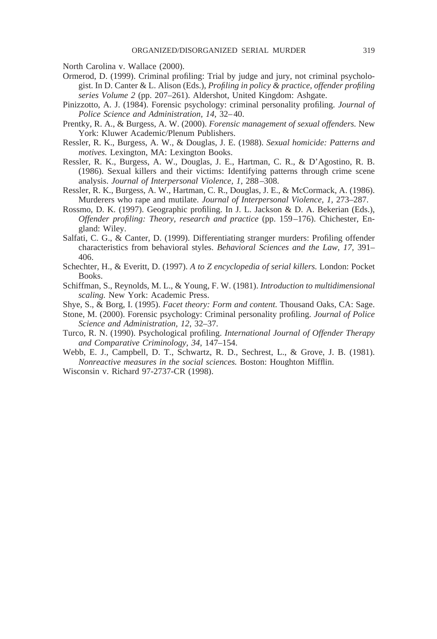North Carolina v. Wallace (2000).

- Ormerod, D. (1999). Criminal profiling: Trial by judge and jury, not criminal psychologist. In D. Canter & L. Alison (Eds.), *Profiling in policy & practice, offender profiling series Volume 2* (pp. 207–261). Aldershot, United Kingdom: Ashgate.
- Pinizzotto, A. J. (1984). Forensic psychology: criminal personality profiling. *Journal of Police Science and Administration, 14,* 32–40.
- Prentky, R. A., & Burgess, A. W. (2000). *Forensic management of sexual offenders.* New York: Kluwer Academic/Plenum Publishers.
- Ressler, R. K., Burgess, A. W., & Douglas, J. E. (1988). *Sexual homicide: Patterns and motives.* Lexington, MA: Lexington Books.
- Ressler, R. K., Burgess, A. W., Douglas, J. E., Hartman, C. R., & D'Agostino, R. B. (1986). Sexual killers and their victims: Identifying patterns through crime scene analysis. *Journal of Interpersonal Violence, 1,* 288–308.
- Ressler, R. K., Burgess, A. W., Hartman, C. R., Douglas, J. E., & McCormack, A. (1986). Murderers who rape and mutilate. *Journal of Interpersonal Violence, 1,* 273–287.
- Rossmo, D. K. (1997). Geographic profiling. In J. L. Jackson & D. A. Bekerian (Eds.), *Offender profiling: Theory, research and practice* (pp. 159–176). Chichester, England: Wiley.
- Salfati, C. G., & Canter, D. (1999). Differentiating stranger murders: Profiling offender characteristics from behavioral styles. *Behavioral Sciences and the Law, 17,* 391– 406.
- Schechter, H., & Everitt, D. (1997). *A to Z encyclopedia of serial killers.* London: Pocket Books.
- Schiffman, S., Reynolds, M. L., & Young, F. W. (1981). *Introduction to multidimensional scaling.* New York: Academic Press.
- Shye, S., & Borg, I. (1995). *Facet theory: Form and content.* Thousand Oaks, CA: Sage.
- Stone, M. (2000). Forensic psychology: Criminal personality profiling. *Journal of Police Science and Administration, 12,* 32–37.
- Turco, R. N. (1990). Psychological profiling. *International Journal of Offender Therapy and Comparative Criminology, 34,* 147–154.
- Webb, E. J., Campbell, D. T., Schwartz, R. D., Sechrest, L., & Grove, J. B. (1981). *Nonreactive measures in the social sciences.* Boston: Houghton Mifflin.
- Wisconsin v. Richard 97-2737-CR (1998).